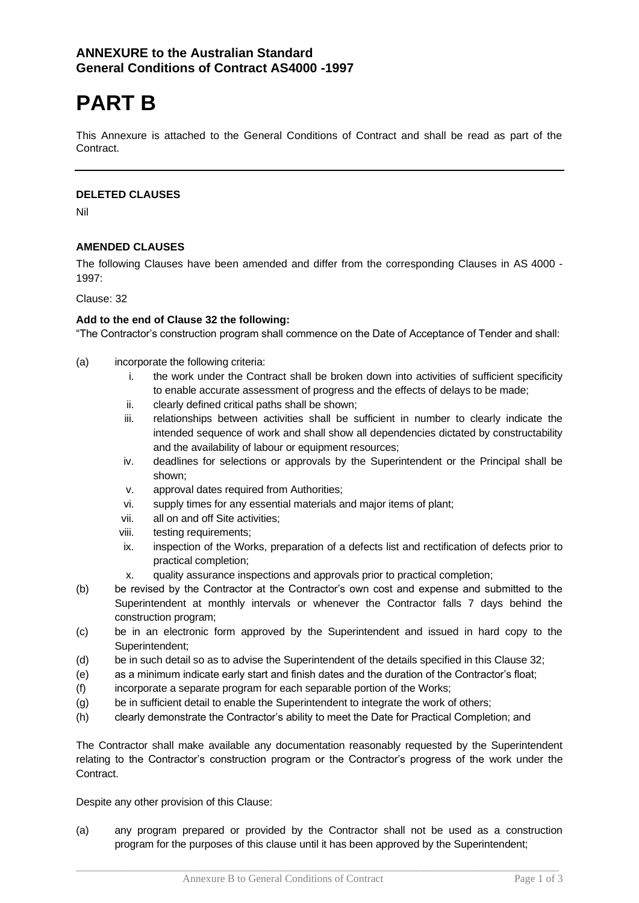# **PART B**

This Annexure is attached to the General Conditions of Contract and shall be read as part of the Contract.

## **DELETED CLAUSES**

Nil

# **AMENDED CLAUSES**

The following Clauses have been amended and differ from the corresponding Clauses in AS 4000 - 1997:

Clause: 32

#### **Add to the end of Clause 32 the following:**

"The Contractor's construction program shall commence on the Date of Acceptance of Tender and shall:

- (a) incorporate the following criteria:
	- i. the work under the Contract shall be broken down into activities of sufficient specificity to enable accurate assessment of progress and the effects of delays to be made;
	- ii. clearly defined critical paths shall be shown;
	- iii. relationships between activities shall be sufficient in number to clearly indicate the intended sequence of work and shall show all dependencies dictated by constructability and the availability of labour or equipment resources;
	- iv. deadlines for selections or approvals by the Superintendent or the Principal shall be shown;
	- v. approval dates required from Authorities;
	- vi. supply times for any essential materials and major items of plant;
	- vii. all on and off Site activities;
	- viii. testing requirements;
	- ix. inspection of the Works, preparation of a defects list and rectification of defects prior to practical completion;
	- x. quality assurance inspections and approvals prior to practical completion;
- (b) be revised by the Contractor at the Contractor's own cost and expense and submitted to the Superintendent at monthly intervals or whenever the Contractor falls 7 days behind the construction program;
- (c) be in an electronic form approved by the Superintendent and issued in hard copy to the Superintendent;
- (d) be in such detail so as to advise the Superintendent of the details specified in this Clause 32;
- (e) as a minimum indicate early start and finish dates and the duration of the Contractor's float;
- (f) incorporate a separate program for each separable portion of the Works;
- (g) be in sufficient detail to enable the Superintendent to integrate the work of others;
- (h) clearly demonstrate the Contractor's ability to meet the Date for Practical Completion; and

The Contractor shall make available any documentation reasonably requested by the Superintendent relating to the Contractor's construction program or the Contractor's progress of the work under the Contract.

Despite any other provision of this Clause:

(a) any program prepared or provided by the Contractor shall not be used as a construction program for the purposes of this clause until it has been approved by the Superintendent;

 $\Box$  . The contribution of the contribution of the contribution of the contribution of the contribution of the contribution of the contribution of the contribution of the contribution of the contribution of the contributi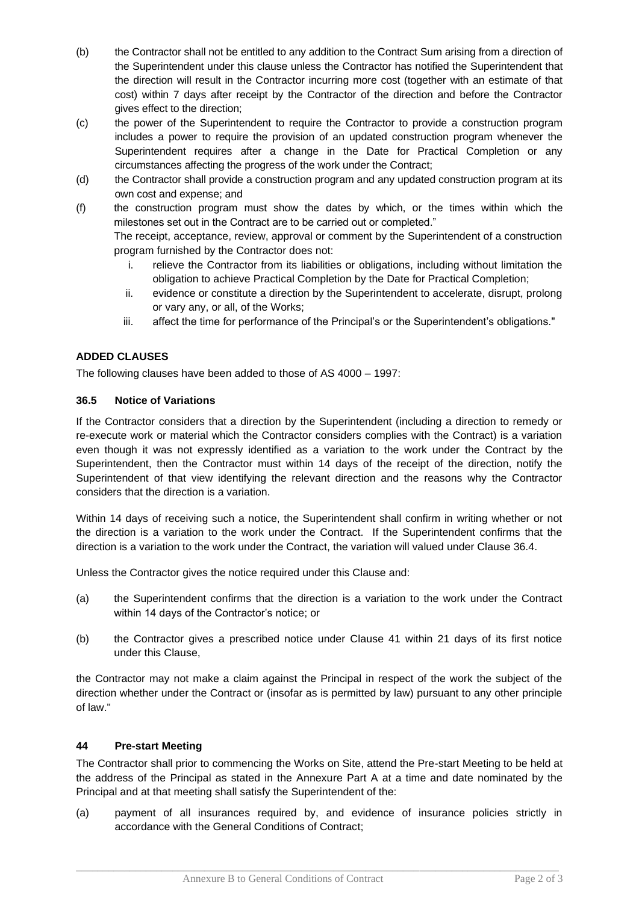- (b) the Contractor shall not be entitled to any addition to the Contract Sum arising from a direction of the Superintendent under this clause unless the Contractor has notified the Superintendent that the direction will result in the Contractor incurring more cost (together with an estimate of that cost) within 7 days after receipt by the Contractor of the direction and before the Contractor gives effect to the direction;
- (c) the power of the Superintendent to require the Contractor to provide a construction program includes a power to require the provision of an updated construction program whenever the Superintendent requires after a change in the Date for Practical Completion or any circumstances affecting the progress of the work under the Contract;
- (d) the Contractor shall provide a construction program and any updated construction program at its own cost and expense; and
- (f) the construction program must show the dates by which, or the times within which the milestones set out in the Contract are to be carried out or completed."

The receipt, acceptance, review, approval or comment by the Superintendent of a construction program furnished by the Contractor does not:

- i. relieve the Contractor from its liabilities or obligations, including without limitation the obligation to achieve Practical Completion by the Date for Practical Completion;
- ii. evidence or constitute a direction by the Superintendent to accelerate, disrupt, prolong or vary any, or all, of the Works;
- iii. affect the time for performance of the Principal's or the Superintendent's obligations."

# **ADDED CLAUSES**

The following clauses have been added to those of AS 4000 – 1997:

## **36.5 Notice of Variations**

If the Contractor considers that a direction by the Superintendent (including a direction to remedy or re-execute work or material which the Contractor considers complies with the Contract) is a variation even though it was not expressly identified as a variation to the work under the Contract by the Superintendent, then the Contractor must within 14 days of the receipt of the direction, notify the Superintendent of that view identifying the relevant direction and the reasons why the Contractor considers that the direction is a variation.

Within 14 days of receiving such a notice, the Superintendent shall confirm in writing whether or not the direction is a variation to the work under the Contract. If the Superintendent confirms that the direction is a variation to the work under the Contract, the variation will valued under Clause 36.4.

Unless the Contractor gives the notice required under this Clause and:

- (a) the Superintendent confirms that the direction is a variation to the work under the Contract within 14 days of the Contractor's notice; or
- (b) the Contractor gives a prescribed notice under Clause 41 within 21 days of its first notice under this Clause,

the Contractor may not make a claim against the Principal in respect of the work the subject of the direction whether under the Contract or (insofar as is permitted by law) pursuant to any other principle of law."

#### **44 Pre-start Meeting**

The Contractor shall prior to commencing the Works on Site, attend the Pre-start Meeting to be held at the address of the Principal as stated in the Annexure Part A at a time and date nominated by the Principal and at that meeting shall satisfy the Superintendent of the:

(a) payment of all insurances required by, and evidence of insurance policies strictly in accordance with the General Conditions of Contract;

 $\Box$  . The contribution of the contribution of the contribution of the contribution of the contribution of the contribution of the contribution of the contribution of the contribution of the contribution of the contributi